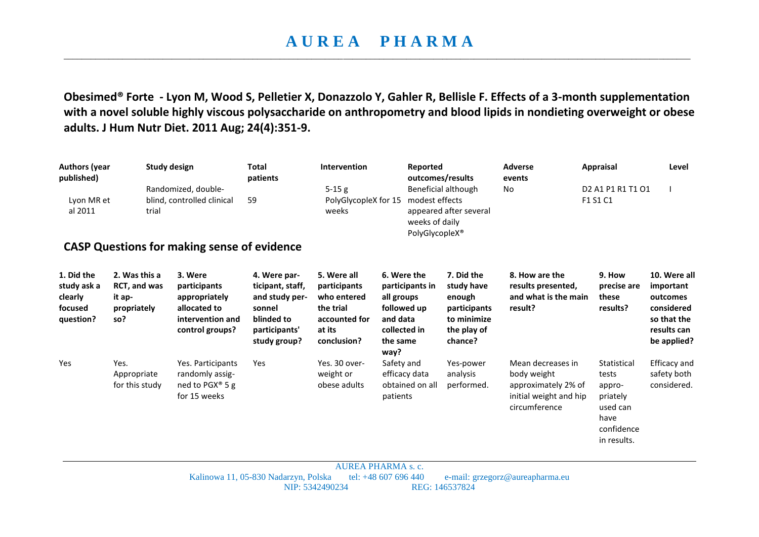## **A U R E A P H A R M A**  \_\_\_\_\_\_\_\_\_\_\_\_\_\_\_\_\_\_\_\_\_\_\_\_\_\_\_\_\_\_\_\_\_\_\_\_\_\_\_\_\_\_\_\_\_\_\_\_\_\_\_\_\_\_\_\_\_\_\_\_\_\_\_\_\_\_\_\_\_\_\_\_\_\_\_\_\_\_\_\_\_\_\_\_\_\_\_\_\_\_\_\_\_\_\_\_\_\_\_\_\_\_\_\_\_\_\_\_\_\_\_\_\_\_\_\_\_\_\_\_\_\_\_\_\_\_\_\_\_\_\_\_\_\_\_\_\_\_\_

**Obesimed® Forte - Lyon M, Wood S, Pelletier X, Donazzolo Y, Gahler R, Bellisle F. Effects of a 3-month supplementation with a novel soluble highly viscous polysaccharide on anthropometry and blood lipids in nondieting overweight or obese adults. J Hum Nutr Diet. 2011 Aug; 24(4):351-9.**

| <b>Authors (year</b><br>published)<br>Lyon MR et<br>al 2011                      | trial                                                                | Study design<br>Randomized, double-<br>blind, controlled clinical                               | <b>Total</b><br>patients<br>59                                                                              | Intervention<br>$5-15g$<br>PolyGlycopleX for 15<br>weeks                                          | Reported                                                                                                    | outcomes/results<br>Beneficial although<br>modest effects<br>appeared after several<br>weeks of daily | <b>Adverse</b><br>events<br>No                                                                     | <b>Appraisal</b><br>D <sub>2</sub> A <sub>1</sub> P <sub>1</sub> R <sub>1</sub> T <sub>1</sub> O <sub>1</sub><br>F1 S1 C1 | Level                                                                                            |
|----------------------------------------------------------------------------------|----------------------------------------------------------------------|-------------------------------------------------------------------------------------------------|-------------------------------------------------------------------------------------------------------------|---------------------------------------------------------------------------------------------------|-------------------------------------------------------------------------------------------------------------|-------------------------------------------------------------------------------------------------------|----------------------------------------------------------------------------------------------------|---------------------------------------------------------------------------------------------------------------------------|--------------------------------------------------------------------------------------------------|
| PolyGlycopleX <sup>®</sup><br><b>CASP Questions for making sense of evidence</b> |                                                                      |                                                                                                 |                                                                                                             |                                                                                                   |                                                                                                             |                                                                                                       |                                                                                                    |                                                                                                                           |                                                                                                  |
| 1. Did the<br>study ask a<br>clearly<br>focused<br>question?                     | 2. Was this a<br><b>RCT, and was</b><br>it ap-<br>propriately<br>so? | 3. Were<br>participants<br>appropriately<br>allocated to<br>intervention and<br>control groups? | 4. Were par-<br>ticipant, staff,<br>and study per-<br>sonnel<br>blinded to<br>participants'<br>study group? | 5. Were all<br>participants<br>who entered<br>the trial<br>accounted for<br>at its<br>conclusion? | 6. Were the<br>participants in<br>all groups<br>followed up<br>and data<br>collected in<br>the same<br>way? | 7. Did the<br>study have<br>enough<br>participants<br>to minimize<br>the play of<br>chance?           | 8. How are the<br>results presented,<br>and what is the main<br>result?                            | 9. How<br>precise are<br>these<br>results?                                                                                | 10. Were all<br>important<br>outcomes<br>considered<br>so that the<br>results can<br>be applied? |
| Yes                                                                              | Yes.<br>Appropriate<br>for this study                                | Yes. Participants<br>randomly assig-<br>ned to PGX® 5 g<br>for 15 weeks                         | Yes                                                                                                         | Yes. 30 over-<br>weight or<br>obese adults                                                        | Safety and<br>efficacy data<br>obtained on all<br>patients                                                  | Yes-power<br>analysis<br>performed.                                                                   | Mean decreases in<br>body weight<br>approximately 2% of<br>initial weight and hip<br>circumference | Statistical<br>tests<br>appro-<br>priately<br>used can<br>have<br>confidence<br>in results.                               | Efficacy and<br>safety both<br>considered.                                                       |